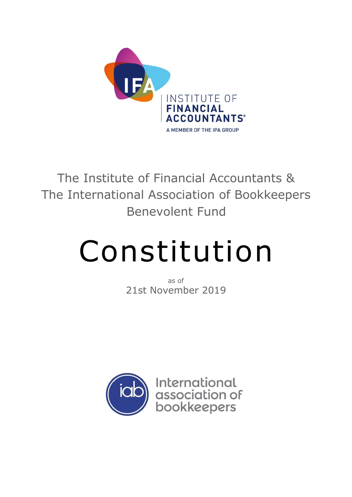

The Institute of Financial Accountants & The International Association of Bookkeepers Benevolent Fund

# Constitution

as of 21st November 2019

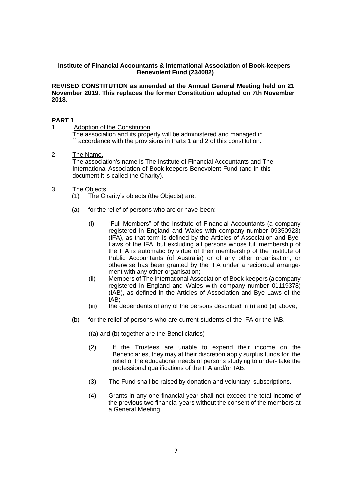# **Institute of Financial Accountants & International Association of Book-keepers Benevolent Fund (234082)**

**REVISED CONSTITUTION as amended at the Annual General Meeting held on 21 November 2019. This replaces the former Constitution adopted on 7th November 2018.**

# **PART 1**

1 Adoption of the Constitution.

The association and its property will be administered and managed in `` accordance with the provisions in Parts 1 and 2 of this constitution.

2 The Name. The association's name is The Institute of Financial Accountants and The International Association of Book-keepers Benevolent Fund (and in this document it is called the Charity).

# 3 The Objects

- (1) The Charity's objects (the Objects) are:
- (a) for the relief of persons who are or have been:
	- (i) "Full Members" of the Institute of Financial Accountants (a company registered in England and Wales with company number 09350923) (IFA), as that term is defined by the Articles of Association and Bye-Laws of the IFA, but excluding all persons whose full membership of the IFA is automatic by virtue of their membership of the Institute of Public Accountants (of Australia) or of any other organisation, or otherwise has been granted by the IFA under a reciprocal arrangement with any other organisation;
	- (ii) Members of The International Association of Book-keepers (a company registered in England and Wales with company number 01119378) (IAB), as defined in the Articles of Association and Bye Laws of the IAB;
	- (iii) the dependents of any of the persons described in (i) and (ii) above;
- (b) for the relief of persons who are current students of the IFA or the IAB.
	- ((a) and (b) together are the Beneficiaries)
	- (2) If the Trustees are unable to expend their income on the Beneficiaries, they may at their discretion apply surplus funds for the relief of the educational needs of persons studying to under- take the professional qualifications of the IFA and/or IAB.
	- (3) The Fund shall be raised by donation and voluntary subscriptions.
	- (4) Grants in any one financial year shall not exceed the total income of the previous two financial years without the consent of the members at a General Meeting.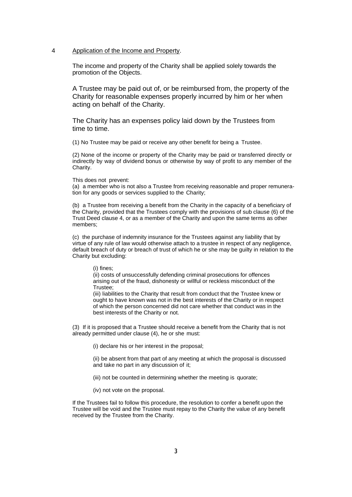## 4 Application of the Income and Property.

The income and property of the Charity shall be applied solely towards the promotion of the Objects.

A Trustee may be paid out of, or be reimbursed from, the property of the Charity for reasonable expenses properly incurred by him or her when acting on behalf of the Charity.

The Charity has an expenses policy laid down by the Trustees from time to time.

(1) No Trustee may be paid or receive any other benefit for being a Trustee.

(2) None of the income or property of the Charity may be paid or transferred directly or indirectly by way of dividend bonus or otherwise by way of profit to any member of the Charity.

This does not prevent:

(a) a member who is not also a Trustee from receiving reasonable and proper remuneration for any goods or services supplied to the Charity;

(b) a Trustee from receiving a benefit from the Charity in the capacity of a beneficiary of the Charity, provided that the Trustees comply with the provisions of sub clause (6) of the Trust Deed clause 4, or as a member of the Charity and upon the same terms as other members;

(c) the purchase of indemnity insurance for the Trustees against any liability that by virtue of any rule of law would otherwise attach to a trustee in respect of any negligence, default breach of duty or breach of trust of which he or she may be guilty in relation to the Charity but excluding:

(i) fines;

(ii) costs of unsuccessfully defending criminal prosecutions for offences arising out of the fraud, dishonesty or willful or reckless misconduct of the Trustee;

(iii) liabilities to the Charity that result from conduct that the Trustee knew or ought to have known was not in the best interests of the Charity or in respect of which the person concerned did not care whether that conduct was in the best interests of the Charity or not.

(3) If it is proposed that a Trustee should receive a benefit from the Charity that is not already permitted under clause (4), he or she must:

(i) declare his or her interest in the proposal;

(ii) be absent from that part of any meeting at which the proposal is discussed and take no part in any discussion of it;

(iii) not be counted in determining whether the meeting is quorate;

(iv) not vote on the proposal.

If the Trustees fail to follow this procedure, the resolution to confer a benefit upon the Trustee will be void and the Trustee must repay to the Charity the value of any benefit received by the Trustee from the Charity.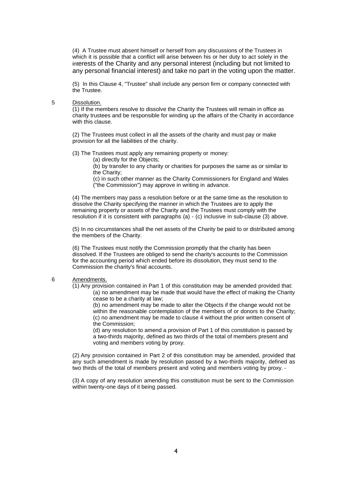(4) A Trustee must absent himself or herself from any discussions of the Trustees in which it is possible that a conflict will arise between his or her duty to act solely in the interests of the Charity and any personal interest (including but not limited to any personal financial interest) and take no part in the voting upon the matter.

(5) In this Clause 4, "Trustee" shall include any person firm or company connected with the Trustee.

#### 5 Dissolution.

(1) If the members resolve to dissolve the Charity the Trustees will remain in office as charity trustees and be responsible for winding up the affairs of the Charity in accordance with this clause.

(2) The Trustees must collect in all the assets of the charity and must pay or make provision for all the liabilities of the charity.

(3) The Trustees must apply any remaining property or money:

(a) directly for the Objects;

(b) by transfer to any charity or charities for purposes the same as or similar to the Charity;

(c) in such other manner as the Charity Commissioners for England and Wales ("the Commission") may approve in writing in advance.

(4) The members may pass a resolution before or at the same time as the resolution to dissolve the Charity specifying the manner in which the Trustees are to apply the remaining property or assets of the Charity and the Trustees must comply with the resolution if it is consistent with paragraphs (a) - (c) inclusive in sub-clause (3) above.

(5) In no circumstances shall the net assets of the Charity be paid to or distributed among the members of the Charity.

(6) The Trustees must notify the Commission promptly that the charity has been dissolved. If the Trustees are obliged to send the charity's accounts to the Commission for the accounting period which ended before its dissolution, they must send to the Commission the charity's final accounts.

#### 6 Amendments.

(1) Any provision contained in Part 1 of this constitution may be amended provided that: (a) no amendment may be made that would have the effect of making the Charity cease to be a charity at law;

(b) no amendment may be made to alter the Objects if the change would not be within the reasonable contemplation of the members of or donors to the Charity; (c) no amendment may be made to clause 4 without the prior written consent of the Commission;

(d) any resolution to amend a provision of Part 1 of this constitution is passed by a two-thirds majority, defined as two thirds of the total of members present and voting and members voting by proxy.

(2) Any provision contained in Part 2 of this constitution may be amended, provided that any such amendment is made by resolution passed by a two-thirds majority, defined as two thirds of the total of members present and voting and members voting by proxy.

(3) A copy of any resolution amending this constitution must be sent to the Commission within twenty-one days of it being passed.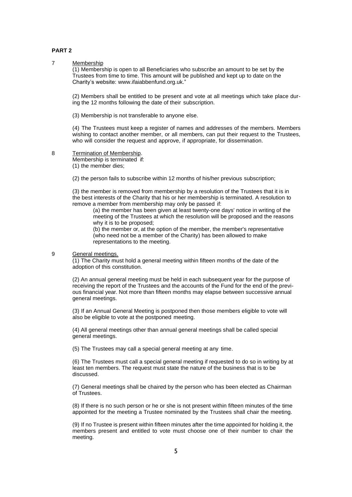#### **PART 2**

# 7 Membership

(1) Membership is open to all Beneficiaries who subscribe an amount to be set by the Trustees from time to time. This amount will be published and kept up to date on the Charity's website: [www.ifaiabbenfund.org.uk."](http://www.ifaiabbenfund.org.uk/)

(2) Members shall be entitled to be present and vote at all meetings which take place during the 12 months following the date of their subscription.

(3) Membership is not transferable to anyone else.

(4) The Trustees must keep a register of names and addresses of the members. Members wishing to contact another member, or all members, can put their request to the Trustees, who will consider the request and approve, if appropriate, for dissemination.

8 Termination of Membership.

Membership is terminated if: (1) the member dies;

(2) the person fails to subscribe within 12 months of his/her previous subscription;

(3) the member is removed from membership by a resolution of the Trustees that it is in the best interests of the Charity that his or her membership is terminated. A resolution to remove a member from membership may only be passed if:

(a) the member has been given at least twenty-one days' notice in writing of the meeting of the Trustees at which the resolution will be proposed and the reasons why it is to be proposed;

(b) the member or, at the option of the member, the member's representative (who need not be a member of the Charity) has been allowed to make representations to the meeting.

9 General meetings.

(1) The Charity must hold a general meeting within fifteen months of the date of the adoption of this constitution.

(2) An annual general meeting must be held in each subsequent year for the purpose of receiving the report of the Trustees and the accounts of the Fund for the end of the previous financial year. Not more than fifteen months may elapse between successive annual general meetings.

(3) If an Annual General Meeting is postponed then those members eligible to vote will also be eligible to vote at the postponed meeting.

(4) All general meetings other than annual general meetings shall be called special general meetings.

(5) The Trustees may call a special general meeting at any time.

(6) The Trustees must call a special general meeting if requested to do so in writing by at least ten members. The request must state the nature of the business that is to be discussed.

(7) General meetings shall be chaired by the person who has been elected as Chairman of Trustees.

(8) If there is no such person or he or she is not present within fifteen minutes of the time appointed for the meeting a Trustee nominated by the Trustees shall chair the meeting.

(9) If no Trustee is present within fifteen minutes after the time appointed for holding it, the members present and entitled to vote must choose one of their number to chair the meeting.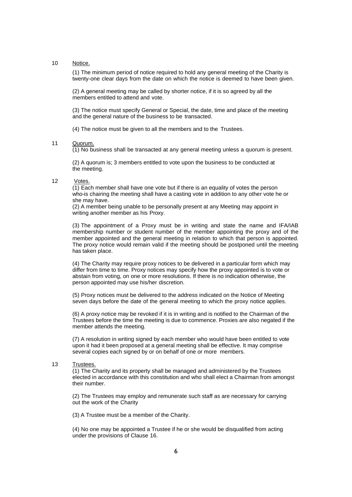#### 10 Notice.

(1) The minimum period of notice required to hold any general meeting of the Charity is twenty-one clear days from the date on which the notice is deemed to have been given.

(2) A general meeting may be called by shorter notice, if it is so agreed by all the members entitled to attend and vote.

(3) The notice must specify General or Special, the date, time and place of the meeting and the general nature of the business to be transacted.

(4) The notice must be given to all the members and to the Trustees.

#### 11 Quorum.

(1) No business shall be transacted at any general meeting unless a quorum is present.

(2) A quorum is; 3 members entitled to vote upon the business to be conducted at the meeting.

# 12 Votes.

(1) Each member shall have one vote but if there is an equality of votes the person who-is chairing the meeting shall have a casting vote in addition to any other vote he or she may have.

(2) A member being unable to be personally present at any Meeting may appoint in writing another member as his Proxy.

(3) The appointment of a Proxy must be in writing and state the name and IFA/IAB membership number or student number of the member appointing the proxy and of the member appointed and the general meeting in relation to which that person is appointed. The proxy notice would remain valid if the meeting should be postponed until the meeting has taken place.

(4) The Charity may require proxy notices to be delivered in a particular form which may differ from time to time. Proxy notices may specify how the proxy appointed is to vote or abstain from voting, on one or more resolutions. If there is no indication otherwise, the person appointed may use his/her discretion.

(5) Proxy notices must be delivered to the address indicated on the Notice of Meeting seven days before the date of the general meeting to which the proxy notice applies.

(6) A proxy notice may be revoked if it is in writing and is notified to the Chairman of the Trustees before the time the meeting is due to commence. Proxies are also negated if the member attends the meeting.

(7) A resolution in writing signed by each member who would have been entitled to vote upon it had it been proposed at a general meeting shall be effective. It may comprise several copies each signed by or on behalf of one or more members.

#### 13 Trustees.

(1) The Charity and its property shall be managed and administered by the Trustees elected in accordance with this constitution and who shall elect a Chairman from amongst their number.

(2) The Trustees may employ and remunerate such staff as are necessary for carrying out the work of the Charity

(3) A Trustee must be a member of the Charity.

(4) No one may be appointed a Trustee if he or she would be disqualified from acting under the provisions of Clause 16.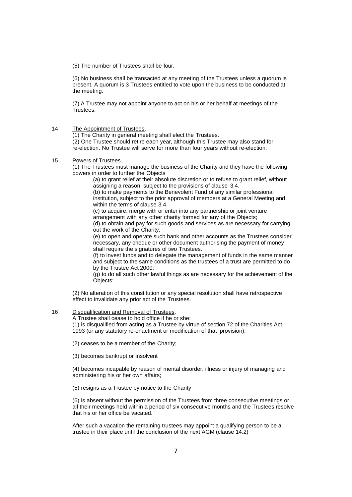(5) The number of Trustees shall be four.

(6) No business shall be transacted at any meeting of the Trustees unless a quorum is present. A quorum is 3 Trustees entitled to vote upon the business to be conducted at the meeting.

(7) A Trustee may not appoint anyone to act on his or her behalf at meetings of the Trustees.

14 The Appointment of Trustees.

(1) The Charity in general meeting shall elect the Trustees.

(2) One Trustee should retire each year, although this Trustee may also stand for re-election. No Trustee will serve for more than four years without re-election.

15 Powers of Trustees.

(1) The Trustees must manage the business of the Charity and they have the following powers in order to further the Objects

(a) to grant relief at their absolute discretion or to refuse to grant relief, without assigning a reason, subject to the provisions of clause 3.4.

(b) to make payments to the Benevolent Fund of any similar professional institution, subject to the prior approval of members at a General Meeting and within the terms of clause 3.4.

(c) to acquire, merge with or enter into any partnership or joint venture arrangement with any other charity formed for any of the Objects;

(d) to obtain and pay for such goods and services as are necessary for carrying out the work of the Charity;

(e) to open and operate such bank and other accounts as the Trustees consider necessary, any cheque or other document authorising the payment of money shall require the signatures of two Trustees.

(f) to invest funds and to delegate the management of funds in the same manner and subject to the same conditions as the trustees of a trust are permitted to do by the Trustee Act 2000;

(g) to do all such other lawful things as are necessary for the achievement of the Objects;

(2) No alteration of this constitution or any special resolution shall have retrospective effect to invalidate any prior act of the Trustees.

16 Disqualification and Removal of Trustees.

A Trustee shall cease to hold office if he or she:

(1) is disqualified from acting as a Trustee by virtue of section 72 of the Charities Act 1993 (or any statutory re-enactment or modification of that provision);

(2) ceases to be a member of the Charity;

(3) becomes bankrupt or insolvent

(4) becomes incapable by reason of mental disorder, illness or injury of managing and administering his or her own affairs;

(5) resigns as a Trustee by notice to the Charity

(6) is absent without the permission of the Trustees from three consecutive meetings or all their meetings held within a period of six consecutive months and the Trustees resolve that his or her office be vacated.

After such a vacation the remaining trustees may appoint a qualifying person to be a trustee in their place until the conclusion of the next AGM (clause 14.2)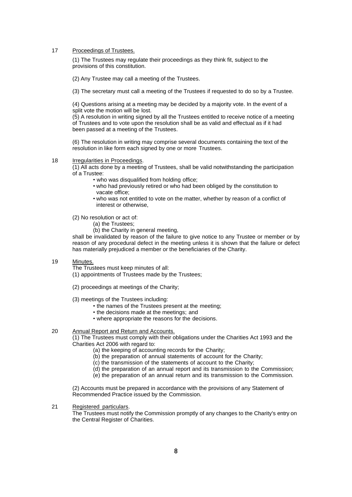17 Proceedings of Trustees.

(1) The Trustees may regulate their proceedings as they think fit, subject to the provisions of this constitution.

(2) Any Trustee may call a meeting of the Trustees.

(3) The secretary must call a meeting of the Trustees if requested to do so by a Trustee.

(4) Questions arising at a meeting may be decided by a majority vote. In the event of a split vote the motion will be lost.

(5) A resolution in writing signed by all the Trustees entitled to receive notice of a meeting of Trustees and to vote upon the resolution shall be as valid and effectual as if it had been passed at a meeting of the Trustees.

(6) The resolution in writing may comprise several documents containing the text of the resolution in like form each signed by one or more Trustees.

#### 18 Irregularities in Proceedings.

(1) All acts done by a meeting of Trustees, shall be valid notwithstanding the participation of a Trustee:

- who was disqualified from holding office;
- who had previously retired or who had been obliged by the constitution to vacate office;
- who was not entitled to vote on the matter, whether by reason of a conflict of interest or otherwise,

(2) No resolution or act of:

(a) the Trustees;

(b) the Charity in general meeting,

shall be invalidated by reason of the failure to give notice to any Trustee or member or by reason of any procedural defect in the meeting unless it is shown that the failure or defect has materially prejudiced a member or the beneficiaries of the Charity.

19 Minutes.

The Trustees must keep minutes of all:

(1) appointments of Trustees made by the Trustees;

- (2) proceedings at meetings of the Charity;
- (3) meetings of the Trustees including:
	- the names of the Trustees present at the meeting;
	- the decisions made at the meetings; and
	- where appropriate the reasons for the decisions.

## 20 Annual Report and Return and Accounts.

(1) The Trustees must comply with their obligations under the Charities Act 1993 and the Charities Act 2006 with regard to:

(a) the keeping of accounting records for the Charity;

- (b) the preparation of annual statements of account for the Charity;
- (c) the transmission of the statements of account to the Charity;
- (d) the preparation of an annual report and its transmission to the Commission;
- (e) the preparation of an annual return and its transmission to the Commission.

(2) Accounts must be prepared in accordance with the provisions of any Statement of Recommended Practice issued by the Commission.

21 Registered particulars.

The Trustees must notify the Commission promptly of any changes to the Charity's entry on the Central Register of Charities.